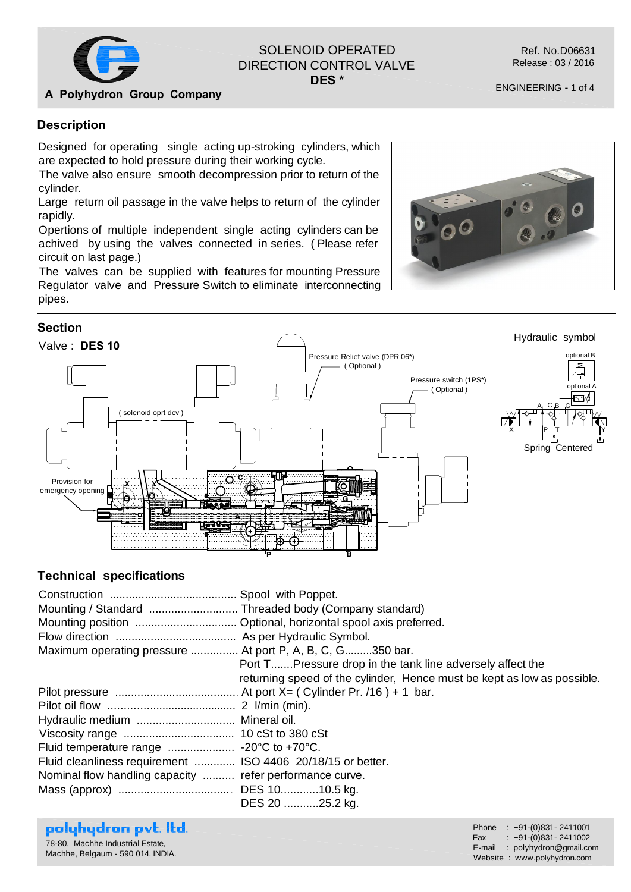

# SOLENOID OPERATED DIRECTION CONTROL VALVE

**DES \***

#### **A Polyhydron Group Company**

#### **Description**

Designed for operating single acting up-stroking cylinders, which are expected to hold pressure during their working cycle.

The valve also ensure smooth decompression prior to return of the cylinder.

Large return oil passage in the valve helps to return of the cylinder rapidly.

Opertions of multiple independent single acting cylinders can be achived by using the valves connected in series. ( Please refer circuit on last page.)

The valves can be supplied with features for mounting Pressure Regulator valve and Pressure Switch to eliminate interconnecting pipes.





#### **Technical specifications**

| Maximum operating pressure  At port P, A, B, C, G350 bar.   |                                                                         |
|-------------------------------------------------------------|-------------------------------------------------------------------------|
|                                                             | Port TPressure drop in the tank line adversely affect the               |
|                                                             | returning speed of the cylinder, Hence must be kept as low as possible. |
|                                                             |                                                                         |
|                                                             |                                                                         |
|                                                             |                                                                         |
|                                                             |                                                                         |
|                                                             |                                                                         |
| Fluid cleanliness requirement  ISO 4406 20/18/15 or better. |                                                                         |
| Nominal flow handling capacity  refer performance curve.    |                                                                         |
|                                                             |                                                                         |
|                                                             | DES 20 25.2 kg.                                                         |

#### polyhydron pvt. Itd.

78-80, Machhe Industrial Estate, Machhe, Belgaum - 590 014. INDIA. Phone : +91-(0)831- 2411001 Fax : +91-(0)831- 2411002 E-mail : polyhydron@gmail.com Website : www.polyhydron.com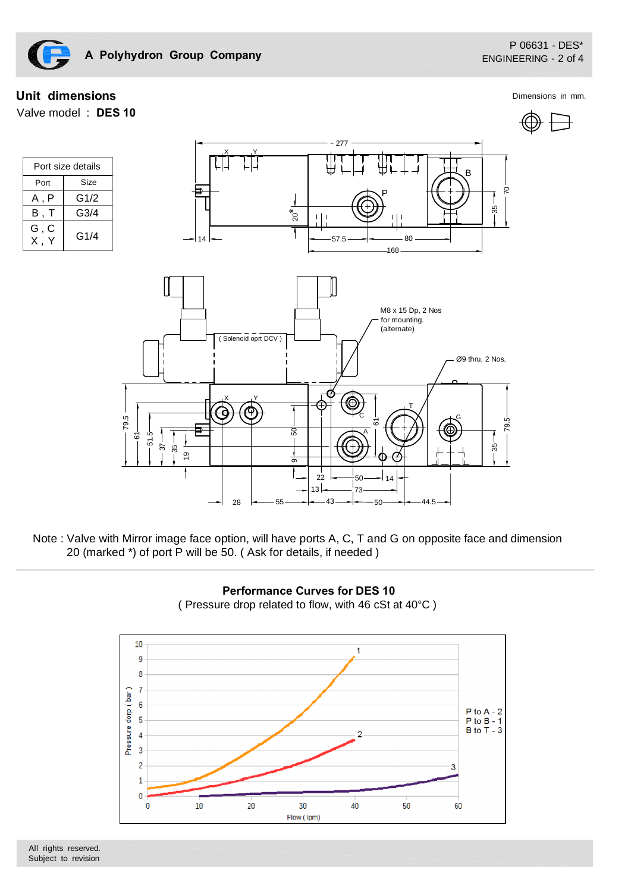

## **Unit dimensions** Dimensions in mm.

Valve model : **DES 10**



| Port size details |      |  |
|-------------------|------|--|
| Port              | Size |  |
| A . P             | G1/2 |  |
| В.                | G3/4 |  |
| G , C<br>Χ.       | G1/4 |  |



Note : Valve with Mirror image face option, will have ports A, C, T and G on opposite face and dimension 20 (marked \*) of port P will be 50. ( Ask for details, if needed )



 **Performance Curves for DES 10** ( Pressure drop related to flow, with 46 cSt at 40°C )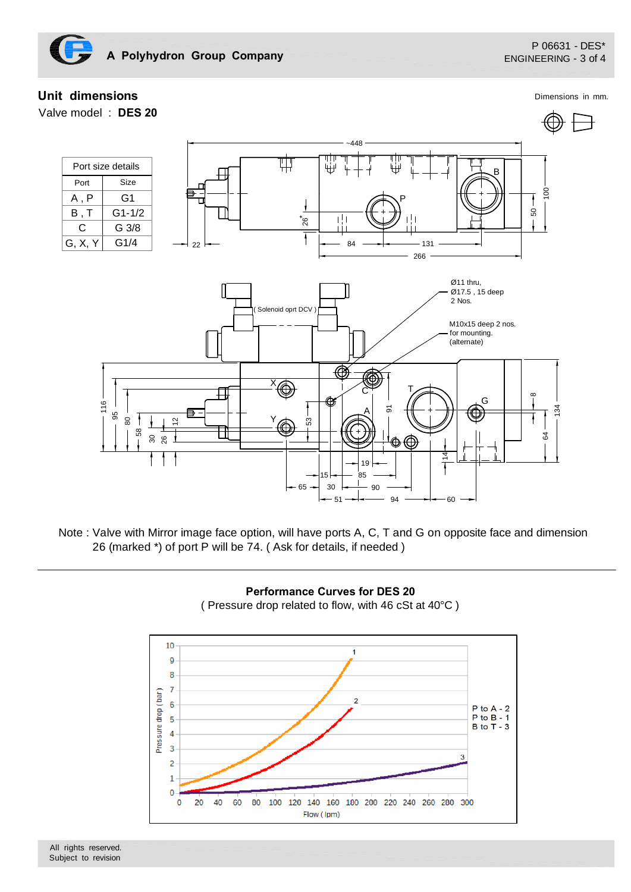

## **Unit dimensions**

Valve model : **DES 20**

Dimensions in mm.







**Performance Curves for DES 20** ( Pressure drop related to flow, with 46 cSt at 40°C )